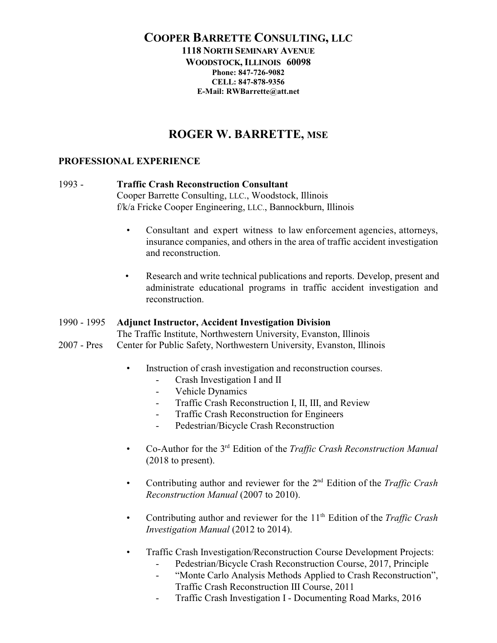## **COOPER BARRETTE CONSULTING, LLC 1118 NORTH SEMINARY AVENUE WOODSTOCK, ILLINOIS 60098 Phone: 847-726-9082 CELL: 847-878-9356 E-Mail: RWBarrette@att.net**

# **ROGER W. BARRETTE, MSE**

## **PROFESSIONAL EXPERIENCE**

# 1993 - **Traffic Crash Reconstruction Consultant** Cooper Barrette Consulting, LLC., Woodstock, Illinois

f/k/a Fricke Cooper Engineering, LLC., Bannockburn, Illinois

- Consultant and expert witness to law enforcement agencies, attorneys, insurance companies, and others in the area of traffic accident investigation and reconstruction.
- Research and write technical publications and reports. Develop, present and administrate educational programs in traffic accident investigation and reconstruction.

### 1990 - 1995 **Adjunct Instructor, Accident Investigation Division**

The Traffic Institute, Northwestern University, Evanston, Illinois

- 2007 Pres Center for Public Safety, Northwestern University, Evanston, Illinois
	- Instruction of crash investigation and reconstruction courses.
		- Crash Investigation I and II
		- Vehicle Dynamics
		- Traffic Crash Reconstruction I, II, III, and Review
		- Traffic Crash Reconstruction for Engineers
		- Pedestrian/Bicycle Crash Reconstruction
	- Co-Author for the 3<sup>rd</sup> Edition of the *Traffic Crash Reconstruction Manual* (2018 to present).
	- Contributing author and reviewer for the 2<sup>nd</sup> Edition of the *Traffic Crash Reconstruction Manual* (2007 to 2010).
		- Contributing author and reviewer for the 11<sup>th</sup> Edition of the *Traffic Crash Investigation Manual* (2012 to 2014).
		- Traffic Crash Investigation/Reconstruction Course Development Projects:
			- Pedestrian/Bicycle Crash Reconstruction Course, 2017, Principle
			- "Monte Carlo Analysis Methods Applied to Crash Reconstruction", Traffic Crash Reconstruction III Course, 2011
			- Traffic Crash Investigation I Documenting Road Marks, 2016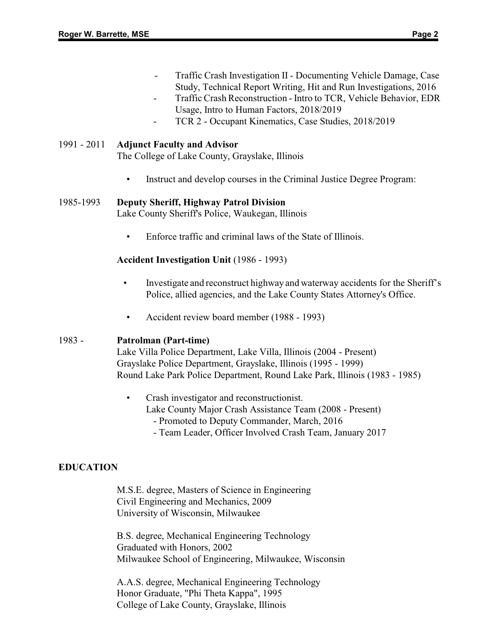- Traffic Crash Investigation II Documenting Vehicle Damage, Case Study, Technical Report Writing, Hit and Run Investigations, 2016
- Traffic Crash Reconstruction Intro to TCR, Vehicle Behavior, EDR Usage, Intro to Human Factors, 2018/2019
- TCR 2 Occupant Kinematics, Case Studies, 2018/2019

### 1991 - 2011 **Adjunct Faculty and Advisor**

The College of Lake County, Grayslake, Illinois

• Instruct and develop courses in the Criminal Justice Degree Program:

## 1985-1993 **Deputy Sheriff, Highway Patrol Division**

Lake County Sheriff's Police, Waukegan, Illinois

• Enforce traffic and criminal laws of the State of Illinois.

## **Accident Investigation Unit** (1986 - 1993)

- Investigate and reconstruct highway and waterway accidents for the Sheriff's Police, allied agencies, and the Lake County States Attorney's Office.
- Accident review board member (1988 1993)

# 1983 - **Patrolman (Part-time)**

Lake Villa Police Department, Lake Villa, Illinois (2004 - Present) Grayslake Police Department, Grayslake, Illinois (1995 - 1999) Round Lake Park Police Department, Round Lake Park, Illinois (1983 - 1985)

- Crash investigator and reconstructionist. Lake County Major Crash Assistance Team (2008 - Present)
	- Promoted to Deputy Commander, March, 2016
	- Team Leader, Officer Involved Crash Team, January 2017

# **EDUCATION**

M.S.E. degree, Masters of Science in Engineering Civil Engineering and Mechanics, 2009 University of Wisconsin, Milwaukee

B.S. degree, Mechanical Engineering Technology Graduated with Honors, 2002 Milwaukee School of Engineering, Milwaukee, Wisconsin

A.A.S. degree, Mechanical Engineering Technology Honor Graduate, "Phi Theta Kappa", 1995 College of Lake County, Grayslake, Illinois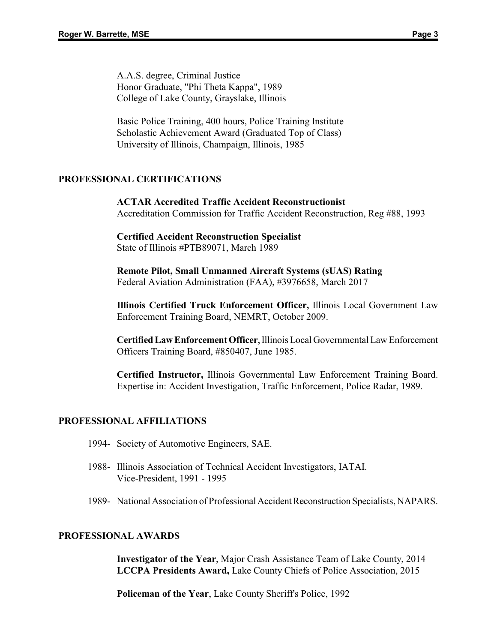A.A.S. degree, Criminal Justice Honor Graduate, "Phi Theta Kappa", 1989 College of Lake County, Grayslake, Illinois

Basic Police Training, 400 hours, Police Training Institute Scholastic Achievement Award (Graduated Top of Class) University of Illinois, Champaign, Illinois, 1985

#### **PROFESSIONAL CERTIFICATIONS**

**ACTAR Accredited Traffic Accident Reconstructionist** Accreditation Commission for Traffic Accident Reconstruction, Reg #88, 1993

**Certified Accident Reconstruction Specialist** State of Illinois #PTB89071, March 1989

**Remote Pilot, Small Unmanned Aircraft Systems (sUAS) Rating** Federal Aviation Administration (FAA), #3976658, March 2017

**Illinois Certified Truck Enforcement Officer,** Illinois Local Government Law Enforcement Training Board, NEMRT, October 2009.

**Certified Law EnforcementOfficer**,Illinois Local Governmental Law Enforcement Officers Training Board, #850407, June 1985.

**Certified Instructor,** Illinois Governmental Law Enforcement Training Board. Expertise in: Accident Investigation, Traffic Enforcement, Police Radar, 1989.

#### **PROFESSIONAL AFFILIATIONS**

- 1994- Society of Automotive Engineers, SAE.
- 1988- Illinois Association of Technical Accident Investigators, IATAI. Vice-President, 1991 - 1995
- 1989- National Association of Professional Accident ReconstructionSpecialists, NAPARS.

### **PROFESSIONAL AWARDS**

**Investigator of the Year**, Major Crash Assistance Team of Lake County, 2014 **LCCPA Presidents Award,** Lake County Chiefs of Police Association, 2015

**Policeman of the Year**, Lake County Sheriff's Police, 1992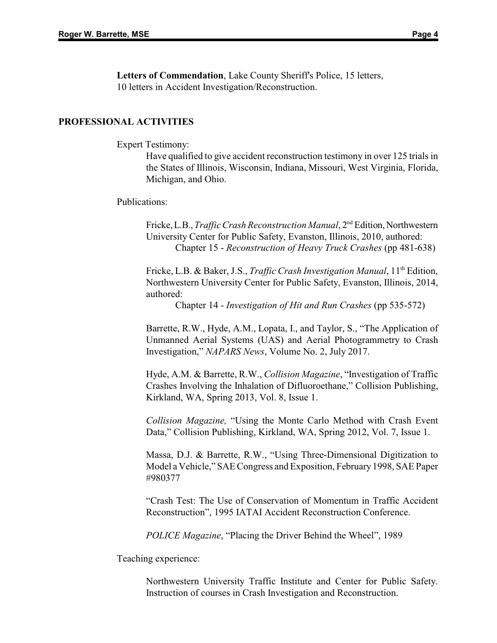**Letters of Commendation**, Lake County Sheriff's Police, 15 letters, 10 letters in Accident Investigation/Reconstruction.

#### **PROFESSIONAL ACTIVITIES**

Expert Testimony:

Have qualified to give accident reconstruction testimony in over 125 trials in the States of Illinois, Wisconsin, Indiana, Missouri, West Virginia, Florida, Michigan, and Ohio.

Publications:

Fricke, L.B., *Traffic Crash Reconstruction Manual*, 2<sup>nd</sup> Edition, Northwestern University Center for Public Safety, Evanston, Illinois, 2010, authored: Chapter 15 - *Reconstruction of Heavy Truck Crashes* (pp 481-638)

Fricke, L.B. & Baker, J.S., *Traffic Crash Investigation Manual*, 11<sup>th</sup> Edition, Northwestern University Center for Public Safety, Evanston, Illinois, 2014, authored:

Chapter 14 - *Investigation of Hit and Run Crashes* (pp 535-572)

Barrette, R.W., Hyde, A.M., Lopata, I., and Taylor, S., "The Application of Unmanned Aerial Systems (UAS) and Aerial Photogrammetry to Crash Investigation," *NAPARS News*, Volume No. 2, July 2017.

Hyde, A.M. & Barrette, R.W., *Collision Magazine*, "Investigation of Traffic Crashes Involving the Inhalation of Difluoroethane," Collision Publishing, Kirkland, WA, Spring 2013, Vol. 8, Issue 1.

*Collision Magazine,* "Using the Monte Carlo Method with Crash Event Data," Collision Publishing, Kirkland, WA, Spring 2012, Vol. 7, Issue 1.

Massa, D.J. & Barrette, R.W., "Using Three-Dimensional Digitization to Model a Vehicle," SAE Congress and Exposition, February 1998, SAE Paper #980377

"Crash Test: The Use of Conservation of Momentum in Traffic Accident Reconstruction", 1995 IATAI Accident Reconstruction Conference.

*POLICE Magazine*, "Placing the Driver Behind the Wheel", 1989

Teaching experience:

Northwestern University Traffic Institute and Center for Public Safety. Instruction of courses in Crash Investigation and Reconstruction.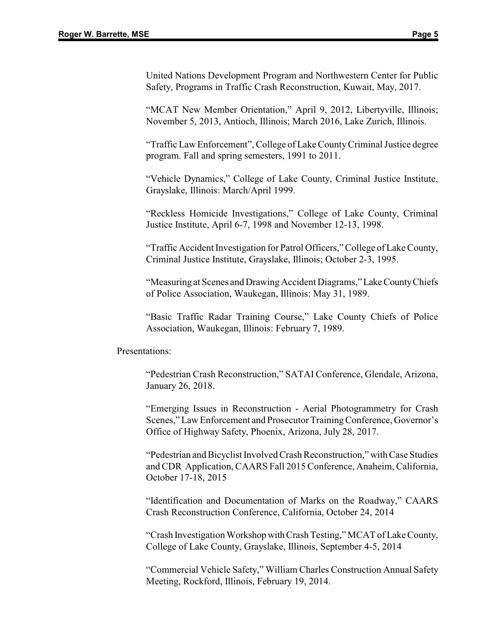United Nations Development Program and Northwestern Center for Public Safety, Programs in Traffic Crash Reconstruction, Kuwait, May, 2017.

"MCAT New Member Orientation," April 9, 2012, Libertyville, Illinois; November 5, 2013, Antioch, Illinois; March 2016, Lake Zurich, Illinois.

"Traffic Law Enforcement", College of Lake CountyCriminal Justice degree program. Fall and spring semesters, 1991 to 2011.

"Vehicle Dynamics," College of Lake County, Criminal Justice Institute, Grayslake, Illinois: March/April 1999.

"Reckless Homicide Investigations," College of Lake County, Criminal Justice Institute, April 6-7, 1998 and November 12-13, 1998.

"Traffic Accident Investigation for Patrol Officers,"College of Lake County, Criminal Justice Institute, Grayslake, Illinois; October 2-3, 1995.

"Measuring at Scenes and Drawing Accident Diagrams," Lake County Chiefs of Police Association, Waukegan, Illinois: May 31, 1989.

"Basic Traffic Radar Training Course," Lake County Chiefs of Police Association, Waukegan, Illinois: February 7, 1989.

Presentations:

"Pedestrian Crash Reconstruction," SATAI Conference, Glendale, Arizona, January 26, 2018.

"Emerging Issues in Reconstruction - Aerial Photogrammetry for Crash Scenes," Law Enforcement and Prosecutor Training Conference, Governor's Office of Highway Safety, Phoenix, Arizona, July 28, 2017.

"Pedestrian and Bicyclist Involved Crash Reconstruction," with Case Studies and CDR Application, CAARS Fall 2015 Conference, Anaheim, California, October 17-18, 2015

"Identification and Documentation of Marks on the Roadway," CAARS Crash Reconstruction Conference, California, October 24, 2014

"Crash Investigation WorkshopwithCrash Testing," MCAT of Lake County, College of Lake County, Grayslake, Illinois, September 4-5, 2014

"Commercial Vehicle Safety," William Charles Construction Annual Safety Meeting, Rockford, Illinois, February 19, 2014.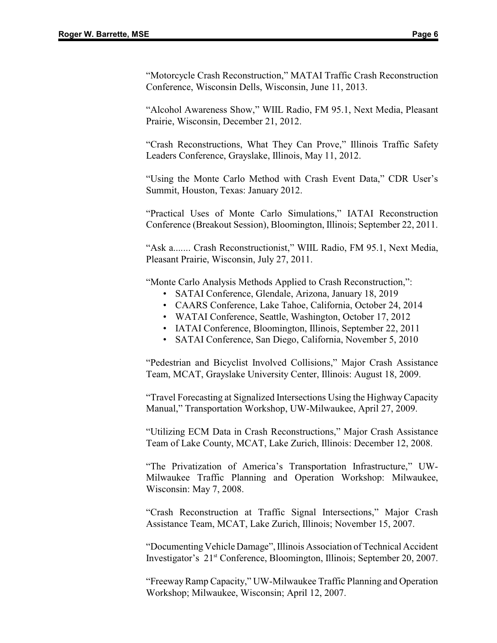"Motorcycle Crash Reconstruction," MATAI Traffic Crash Reconstruction Conference, Wisconsin Dells, Wisconsin, June 11, 2013.

"Alcohol Awareness Show," WIIL Radio, FM 95.1, Next Media, Pleasant Prairie, Wisconsin, December 21, 2012.

"Crash Reconstructions, What They Can Prove," Illinois Traffic Safety Leaders Conference, Grayslake, Illinois, May 11, 2012.

"Using the Monte Carlo Method with Crash Event Data," CDR User's Summit, Houston, Texas: January 2012.

"Practical Uses of Monte Carlo Simulations," IATAI Reconstruction Conference (Breakout Session), Bloomington, Illinois; September 22, 2011.

"Ask a....... Crash Reconstructionist," WIIL Radio, FM 95.1, Next Media, Pleasant Prairie, Wisconsin, July 27, 2011.

"Monte Carlo Analysis Methods Applied to Crash Reconstruction,":

- SATAI Conference, Glendale, Arizona, January 18, 2019
- CAARS Conference, Lake Tahoe, California, October 24, 2014
- WATAI Conference, Seattle, Washington, October 17, 2012
- IATAI Conference, Bloomington, Illinois, September 22, 2011
- SATAI Conference, San Diego, California, November 5, 2010

"Pedestrian and Bicyclist Involved Collisions," Major Crash Assistance Team, MCAT, Grayslake University Center, Illinois: August 18, 2009.

"Travel Forecasting at Signalized Intersections Using the HighwayCapacity Manual," Transportation Workshop, UW-Milwaukee, April 27, 2009.

"Utilizing ECM Data in Crash Reconstructions," Major Crash Assistance Team of Lake County, MCAT, Lake Zurich, Illinois: December 12, 2008.

"The Privatization of America's Transportation Infrastructure," UW-Milwaukee Traffic Planning and Operation Workshop: Milwaukee, Wisconsin: May 7, 2008.

"Crash Reconstruction at Traffic Signal Intersections," Major Crash Assistance Team, MCAT, Lake Zurich, Illinois; November 15, 2007.

"Documenting Vehicle Damage", Illinois Association of Technical Accident Investigator's  $21<sup>st</sup>$  Conference, Bloomington, Illinois; September 20, 2007.

"FreewayRamp Capacity," UW-Milwaukee Traffic Planning and Operation Workshop; Milwaukee, Wisconsin; April 12, 2007.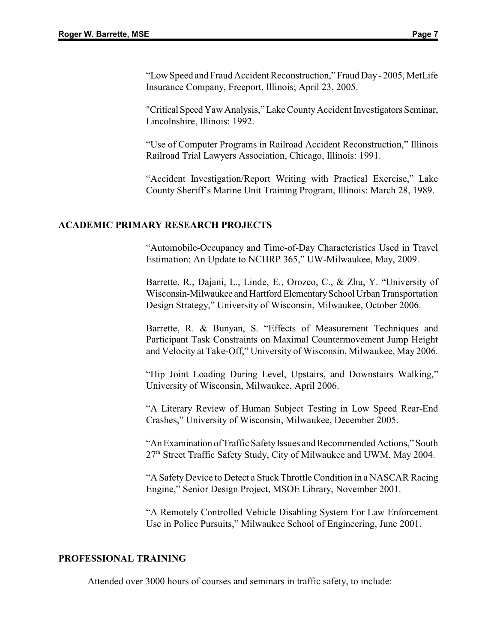"Low Speed and Fraud Accident Reconstruction," Fraud Day- 2005, MetLife Insurance Company, Freeport, Illinois; April 23, 2005.

"Critical Speed Yaw Analysis," Lake County Accident Investigators Seminar, Lincolnshire, Illinois: 1992.

"Use of Computer Programs in Railroad Accident Reconstruction," Illinois Railroad Trial Lawyers Association, Chicago, Illinois: 1991.

"Accident Investigation/Report Writing with Practical Exercise," Lake County Sheriff's Marine Unit Training Program, Illinois: March 28, 1989.

#### **ACADEMIC PRIMARY RESEARCH PROJECTS**

"Automobile-Occupancy and Time-of-Day Characteristics Used in Travel Estimation: An Update to NCHRP 365," UW-Milwaukee, May, 2009.

Barrette, R., Dajani, L., Linde, E., Orozco, C., & Zhu, Y. "University of Wisconsin-Milwaukee and Hartford Elementary School Urban Transportation Design Strategy," University of Wisconsin, Milwaukee, October 2006.

Barrette, R. & Bunyan, S. "Effects of Measurement Techniques and Participant Task Constraints on Maximal Countermovement Jump Height and Velocity at Take-Off," University of Wisconsin, Milwaukee, May 2006.

"Hip Joint Loading During Level, Upstairs, and Downstairs Walking," University of Wisconsin, Milwaukee, April 2006.

"A Literary Review of Human Subject Testing in Low Speed Rear-End Crashes," University of Wisconsin, Milwaukee, December 2005.

"An Examination of Traffic Safety Issues and Recommended Actions," South  $27<sup>th</sup>$  Street Traffic Safety Study, City of Milwaukee and UWM, May 2004.

"A Safety Device to Detect a Stuck Throttle Condition in a NASCAR Racing Engine," Senior Design Project, MSOE Library, November 2001.

"A Remotely Controlled Vehicle Disabling System For Law Enforcement Use in Police Pursuits," Milwaukee School of Engineering, June 2001.

#### **PROFESSIONAL TRAINING**

Attended over 3000 hours of courses and seminars in traffic safety, to include: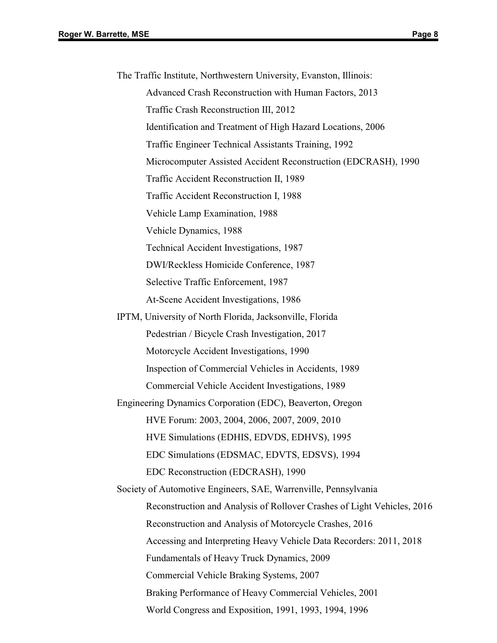| The Traffic Institute, Northwestern University, Evanston, Illinois:     |
|-------------------------------------------------------------------------|
| Advanced Crash Reconstruction with Human Factors, 2013                  |
| Traffic Crash Reconstruction III, 2012                                  |
| Identification and Treatment of High Hazard Locations, 2006             |
| <b>Traffic Engineer Technical Assistants Training, 1992</b>             |
| Microcomputer Assisted Accident Reconstruction (EDCRASH), 1990          |
| Traffic Accident Reconstruction II, 1989                                |
| Traffic Accident Reconstruction I, 1988                                 |
| Vehicle Lamp Examination, 1988                                          |
| Vehicle Dynamics, 1988                                                  |
| Technical Accident Investigations, 1987                                 |
| DWI/Reckless Homicide Conference, 1987                                  |
| Selective Traffic Enforcement, 1987                                     |
| At-Scene Accident Investigations, 1986                                  |
| IPTM, University of North Florida, Jacksonville, Florida                |
| Pedestrian / Bicycle Crash Investigation, 2017                          |
| Motorcycle Accident Investigations, 1990                                |
| Inspection of Commercial Vehicles in Accidents, 1989                    |
| Commercial Vehicle Accident Investigations, 1989                        |
| Engineering Dynamics Corporation (EDC), Beaverton, Oregon               |
| HVE Forum: 2003, 2004, 2006, 2007, 2009, 2010                           |
| HVE Simulations (EDHIS, EDVDS, EDHVS), 1995                             |
| EDC Simulations (EDSMAC, EDVTS, EDSVS), 1994                            |
| EDC Reconstruction (EDCRASH), 1990                                      |
| Society of Automotive Engineers, SAE, Warrenville, Pennsylvania         |
| Reconstruction and Analysis of Rollover Crashes of Light Vehicles, 2016 |
| Reconstruction and Analysis of Motorcycle Crashes, 2016                 |
| Accessing and Interpreting Heavy Vehicle Data Recorders: 2011, 2018     |
| Fundamentals of Heavy Truck Dynamics, 2009                              |
| Commercial Vehicle Braking Systems, 2007                                |
| Braking Performance of Heavy Commercial Vehicles, 2001                  |
| World Congress and Exposition, 1991, 1993, 1994, 1996                   |